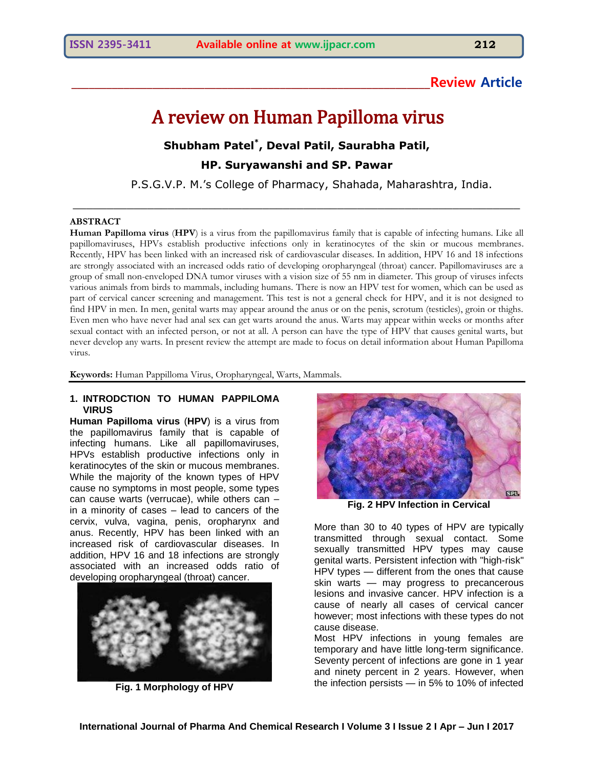# **\_\_\_\_\_\_\_\_\_\_\_\_\_\_\_\_\_\_\_\_\_\_\_\_\_\_\_\_\_\_\_\_\_\_\_\_\_\_\_\_\_\_\_\_\_\_\_\_\_\_\_\_\_\_\_\_\_\_\_\_\_\_Review Article**

# A review on Human Papilloma virus

# **Shubham Patel \* , Deval Patil, Saurabha Patil,**

**HP. Suryawanshi and SP. Pawar**

\_\_\_\_\_\_\_\_\_\_\_\_\_\_\_\_\_\_\_\_\_\_\_\_\_\_\_\_\_\_\_\_\_\_\_\_\_\_\_\_\_\_\_\_\_\_\_\_\_\_\_\_\_\_\_\_\_\_\_\_\_\_\_\_\_\_

P.S.G.V.P. M.'s College of Pharmacy, Shahada, Maharashtra, India.

#### **ABSTRACT**

**Human Papilloma virus** (**HPV**) is a [virus](http://en.wikipedia.org/wiki/Virus) from the [papillomavirus](http://en.wikipedia.org/wiki/Papillomavirus) family that is capable of infecting humans. Like all papillomaviruses, HPVs establish productive infections only in [keratinocytes](http://en.wikipedia.org/wiki/Keratinocyte) of the [skin](http://en.wikipedia.org/wiki/Human_skin) or [mucous membranes.](http://en.wikipedia.org/wiki/Mucous_membrane) Recently, HPV has been linked with an increased risk of cardiovascular diseases. In addition, HPV 16 and 18 infections are strongly associated with an increased odds ratio of developing oropharyngeal (throat) cancer. Papillomaviruses are a group of small non-enveloped DNA tumor viruses with a vision size of 55 nm in diameter. This group of viruses infects various animals from birds to mammals, including humans. There is now an HPV test for women, which can be used as part of cervical cancer screening and management. This test is not a general check for HPV, and it is not designed to find HPV in men. In men, genital warts may appear around the anus or on the penis, scrotum (testicles), groin or thighs. Even men who have never had anal sex can get warts around the anus. Warts may appear within weeks or months after sexual contact with an infected person, or not at all. A person can have the type of HPV that causes genital warts, but never develop any warts. In present review the attempt are made to focus on detail information about Human Papilloma virus.

**Keywords:** Human Pappilloma Virus, Oropharyngeal, Warts, Mammals.

#### **1. INTRODCTION TO HUMAN PAPPILOMA VIRUS**

**Human Papilloma virus** (**HPV**) is a [virus](http://en.wikipedia.org/wiki/Virus) from the [papillomavirus](http://en.wikipedia.org/wiki/Papillomavirus) family that is capable of infecting humans. Like all papillomaviruses, HPVs establish productive infections only in [keratinocytes](http://en.wikipedia.org/wiki/Keratinocyte) of the [skin](http://en.wikipedia.org/wiki/Human_skin) or [mucous membranes.](http://en.wikipedia.org/wiki/Mucous_membrane) While the majority of the known types of HPV cause no symptoms in most people, some types can cause [warts](http://en.wikipedia.org/wiki/Wart) (verrucae), while others can – in a minority of cases – lead to cancers of the [cervix,](http://en.wikipedia.org/wiki/Cervix) [vulva,](http://en.wikipedia.org/wiki/Vulva) [vagina,](http://en.wikipedia.org/wiki/Vagina) [penis,](http://en.wikipedia.org/wiki/Human_penis) [oropharynx](http://en.wikipedia.org/wiki/Oropharynx) and [anus.](http://en.wikipedia.org/wiki/Anus) Recently, HPV has been linked with an increased risk of cardiovascular diseases. In addition, HPV 16 and 18 infections are strongly associated with an increased odds ratio of developing oropharyngeal (throat) cancer.



**Fig. 1 Morphology of HPV** 



**Fig. 2 HPV Infection in Cervical**

More than 30 to 40 types of HPV are typically transmitted through sexual contact. Some sexually transmitted HPV types may cause [genital warts.](http://en.wikipedia.org/wiki/Genital_wart) Persistent infection with "high-risk" HPV types — different from the ones that cause skin warts — may progress to [precancerous](http://en.wikipedia.org/wiki/Precancerous) lesions and invasive cancer. HPV infection is a cause of nearly all cases of [cervical cancer](http://en.wikipedia.org/wiki/Cervical_cancer) however; most infections with these types do not cause disease.

Most HPV infections in young females are temporary and have little long-term significance. Seventy percent of infections are gone in 1 year and ninety percent in 2 years. However, when the infection persists — in 5% to 10% of infected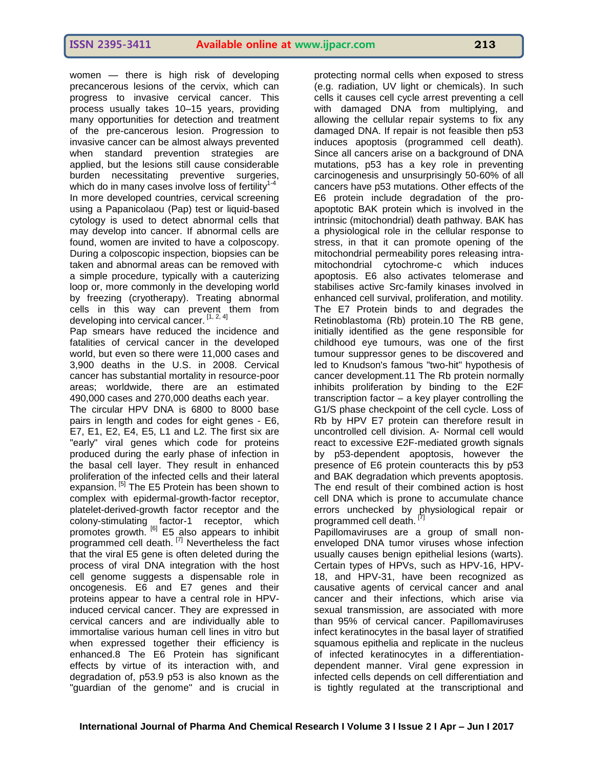women — there is high risk of developing precancerous lesions of the cervix, which can progress to invasive cervical cancer. This process usually takes 10–15 years, providing many opportunities for detection and treatment of the pre-cancerous lesion. Progression to invasive cancer can be almost always prevented when standard prevention strategies are applied, but the lesions still cause considerable burden necessitating preventive surgeries, which do in many cases involve loss of fertility<sup>1-4</sup> In more developed countries, cervical screening using a [Papanicolaou](http://en.wikipedia.org/wiki/Papanicolaou_test) (Pap) test or liquid-based cytology is used to detect abnormal cells that may develop into cancer. If abnormal cells are found, women are invited to have a [colposcopy.](http://en.wikipedia.org/wiki/Colposcopy) During a colposcopic inspection, biopsies can be taken and abnormal areas can be removed with a simple procedure, typically with a [cauterizing](http://en.wikipedia.org/wiki/Loop_electrical_excision_procedure)  [loop](http://en.wikipedia.org/wiki/Loop_electrical_excision_procedure) or, more commonly in the developing world [by freezing](http://en.wikipedia.org/wiki/Cervical_conization) (cryotherapy). Treating abnormal cells in this way can prevent them from developing into cervical cancer. [1, 2, 4]

Pap smears have reduced the incidence and fatalities of cervical cancer in the developed world, but even so there were 11,000 cases and 3,900 deaths in the U.S. in 2008. Cervical cancer has substantial mortality in resource-poor areas; worldwide, there are an estimated 490,000 cases and 270,000 deaths each year.

The circular HPV DNA is 6800 to 8000 base pairs in length and codes for eight genes - E6, E7, E1, E2, E4, E5, L1 and L2. The first six are "early" viral genes which code for proteins produced during the early phase of infection in the basal cell layer. They result in enhanced proliferation of the infected cells and their lateral expansion. <sup>[5]</sup> The E5 Protein has been shown to complex with epidermal-growth-factor receptor, platelet-derived-growth factor receptor and the colony-stimulating factor-1 receptor, which promotes growth. <sup>[6]</sup> E5 also appears to inhibit programmed cell death.<sup>[7]</sup> Nevertheless the fact that the viral E5 gene is often deleted during the process of viral DNA integration with the host cell genome suggests a dispensable role in oncogenesis. E6 and E7 genes and their proteins appear to have a central role in HPVinduced cervical cancer. They are expressed in cervical cancers and are individually able to immortalise various human cell lines in vitro but when expressed together their efficiency is enhanced.8 The E6 Protein has significant effects by virtue of its interaction with, and degradation of, p53.9 p53 is also known as the "guardian of the genome" and is crucial in

protecting normal cells when exposed to stress (e.g. radiation, UV light or chemicals). In such cells it causes cell cycle arrest preventing a cell with damaged DNA from multiplying, and allowing the cellular repair systems to fix any damaged DNA. If repair is not feasible then p53 induces apoptosis (programmed cell death). Since all cancers arise on a background of DNA mutations, p53 has a key role in preventing carcinogenesis and unsurprisingly 50-60% of all cancers have p53 mutations. Other effects of the E6 protein include degradation of the proapoptotic BAK protein which is involved in the intrinsic (mitochondrial) death pathway. BAK has a physiological role in the cellular response to stress, in that it can promote opening of the mitochondrial permeability pores releasing intramitochondrial cytochrome-c which induces apoptosis. E6 also activates telomerase and stabilises active Src-family kinases involved in enhanced cell survival, proliferation, and motility. The E7 Protein binds to and degrades the Retinoblastoma (Rb) protein.10 The RB gene, initially identified as the gene responsible for childhood eye tumours, was one of the first tumour suppressor genes to be discovered and led to Knudson's famous "two-hit" hypothesis of cancer development.11 The Rb protein normally inhibits proliferation by binding to the E2F transcription factor – a key player controlling the G1/S phase checkpoint of the cell cycle. Loss of Rb by HPV E7 protein can therefore result in uncontrolled cell division. A- Normal cell would react to excessive E2F-mediated growth signals by p53-dependent apoptosis, however the presence of E6 protein counteracts this by p53 and BAK degradation which prevents apoptosis. The end result of their combined action is host cell DNA which is prone to accumulate chance errors unchecked by physiological repair or programmed cell death.<sup>[7]</sup> Papillomaviruses are a group of small nonenveloped DNA tumor viruses whose infection usually causes benign epithelial lesions (warts). Certain types of HPVs, such as HPV-16, HPV-18, and HPV-31, have been recognized as

causative agents of cervical cancer and anal cancer and their infections, which arise via sexual transmission, are associated with more than 95% of cervical cancer. Papillomaviruses infect keratinocytes in the basal layer of stratified squamous epithelia and replicate in the nucleus of infected keratinocytes in a differentiationdependent manner. Viral gene expression in infected cells depends on cell differentiation and is tightly regulated at the transcriptional and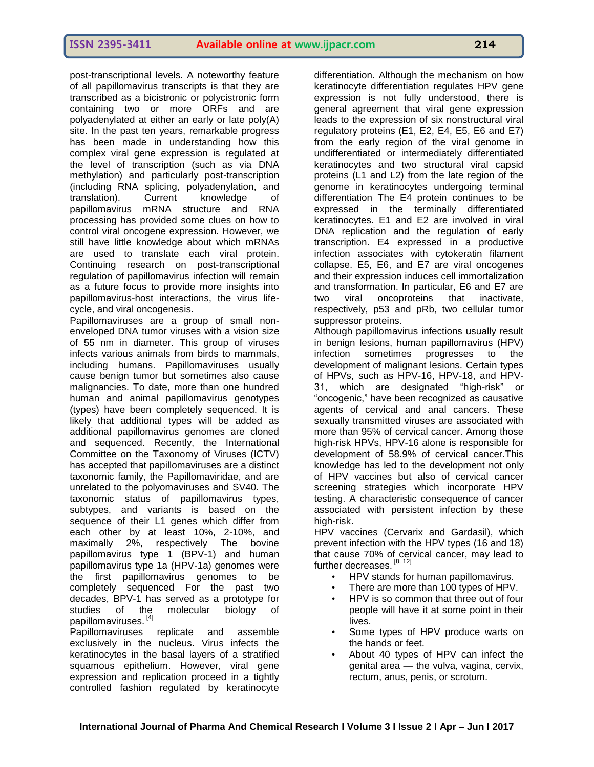post-transcriptional levels. A noteworthy feature of all papillomavirus transcripts is that they are transcribed as a bicistronic or polycistronic form containing two or more ORFs and are polyadenylated at either an early or late poly(A) site. In the past ten years, remarkable progress has been made in understanding how this complex viral gene expression is regulated at the level of transcription (such as via DNA methylation) and particularly post-transcription (including RNA splicing, polyadenylation, and translation). Current knowledge of papillomavirus mRNA structure and RNA processing has provided some clues on how to control viral oncogene expression. However, we still have little knowledge about which mRNAs are used to translate each viral protein. Continuing research on post-transcriptional regulation of papillomavirus infection will remain as a future focus to provide more insights into papillomavirus-host interactions, the virus lifecycle, and viral oncogenesis.

Papillomaviruses are a group of small nonenveloped DNA tumor viruses with a vision size of 55 nm in diameter. This group of viruses infects various animals from birds to mammals, including humans. Papillomaviruses usually cause benign tumor but sometimes also cause malignancies. To date, more than one hundred human and animal papillomavirus genotypes (types) have been completely sequenced. It is likely that additional types will be added as additional papillomavirus genomes are cloned and sequenced. Recently, the International Committee on the Taxonomy of Viruses (ICTV) has accepted that papillomaviruses are a distinct taxonomic family, the Papillomaviridae, and are unrelated to the polyomaviruses and SV40. The taxonomic status of papillomavirus types, subtypes, and variants is based on the sequence of their L1 genes which differ from each other by at least 10%, 2-10%, and maximally 2%, respectively The bovine papillomavirus type 1 (BPV-1) and human papillomavirus type 1a (HPV-1a) genomes were the first papillomavirus genomes to be completely sequenced For the past two decades, BPV-1 has served as a prototype for studies of the molecular biology of papillomaviruses. [4]

Papillomaviruses replicate and assemble exclusively in the nucleus. Virus infects the keratinocytes in the basal layers of a stratified squamous epithelium. However, viral gene expression and replication proceed in a tightly controlled fashion regulated by keratinocyte

differentiation. Although the mechanism on how keratinocyte differentiation regulates HPV gene expression is not fully understood, there is general agreement that viral gene expression leads to the expression of six nonstructural viral regulatory proteins (E1, E2, E4, E5, E6 and E7) from the early region of the viral genome in undifferentiated or intermediately differentiated keratinocytes and two structural viral capsid proteins (L1 and L2) from the late region of the genome in keratinocytes undergoing terminal differentiation The E4 protein continues to be expressed in the terminally differentiated keratinocytes. E1 and E2 are involved in viral DNA replication and the regulation of early transcription. E4 expressed in a productive infection associates with cytokeratin filament collapse. E5, E6, and E7 are viral oncogenes and their expression induces cell immortalization and transformation. In particular, E6 and E7 are two viral oncoproteins that inactivate, respectively, p53 and pRb, two cellular tumor suppressor proteins.

Although papillomavirus infections usually result in benign lesions, human papillomavirus (HPV) infection sometimes progresses to the development of malignant lesions. Certain types of HPVs, such as HPV-16, HPV-18, and HPV-31, which are designated "high-risk" or "oncogenic," have been recognized as causative agents of cervical and anal cancers. These sexually transmitted viruses are associated with more than 95% of cervical cancer. Among those high-risk HPVs, HPV-16 alone is responsible for development of 58.9% of cervical cancer.This knowledge has led to the development not only of HPV vaccines but also of cervical cancer screening strategies which incorporate HPV testing. A characteristic consequence of cancer associated with persistent infection by these high-risk.

[HPV vaccines](http://en.wikipedia.org/wiki/HPV_vaccine) [\(Cervarix](http://en.wikipedia.org/wiki/Cervarix) and [Gardasil\)](http://en.wikipedia.org/wiki/Gardasil), which prevent infection with the HPV types (16 and 18) that cause 70% of cervical cancer, may lead to further decreases. [8, 12]

- HPV stands for human papillomavirus.
- There are more than 100 types of HPV.
- HPV is so common that three out of four people will have it at some point in their lives.
- Some types of HPV produce warts on the hands or feet.
- About 40 types of HPV can infect the genital area — the vulva, vagina, cervix, rectum, anus, penis, or scrotum.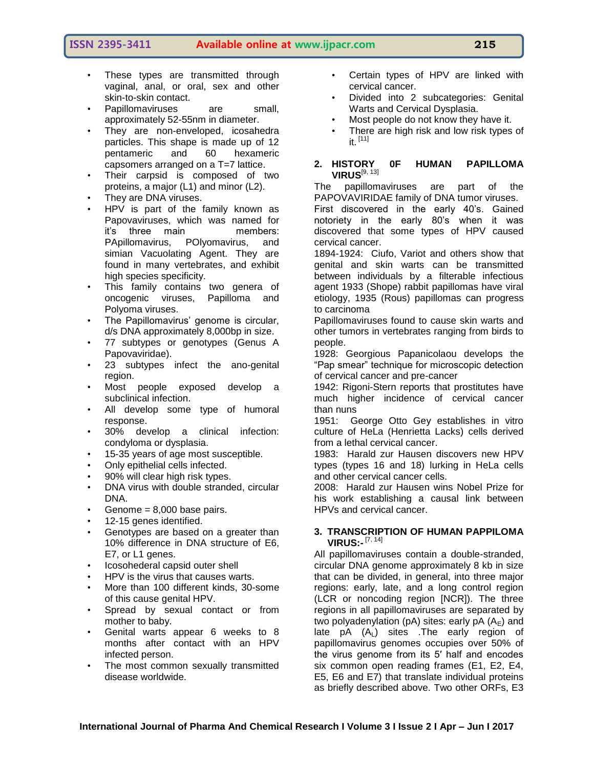- These types are transmitted through vaginal, anal, or oral, sex and other skin-to-skin contact.
- Papillomaviruses are small, approximately 52-55nm in diameter.
- They are non-enveloped, icosahedra particles. This shape is made up of 12 pentameric and 60 hexameric capsomers arranged on a T=7 lattice.
- Their carpsid is composed of two proteins, a major (L1) and minor (L2).
- They are DNA viruses.
- HPV is part of the family known as Papovaviruses, which was named for it's three main members: PApillomavirus, POlyomavirus, and simian Vacuolating Agent. They are found in many vertebrates, and exhibit high species specificity.
- This family contains two genera of oncogenic viruses, Papilloma and Polyoma viruses.
- The Papillomavirus' genome is circular, d/s DNA approximately 8,000bp in size.
- 77 subtypes or genotypes (Genus A Papovaviridae).
- 23 subtypes infect the ano-genital region.
- Most people exposed develop a subclinical infection.
- All develop some type of humoral response.
- 30% develop a clinical infection: condyloma or dysplasia.
- 15-35 years of age most susceptible.
- Only epithelial cells infected.
- 90% will clear high risk types.
- DNA virus with double stranded, circular DNA.
- Genome =  $8,000$  base pairs.
- 12-15 genes identified.
- Genotypes are based on a greater than 10% difference in DNA structure of E6, E7, or L1 genes.
- Icosohederal capsid outer shell
- HPV is the virus that causes warts.
- More than 100 different kinds, 30-some of this cause genital HPV.
- Spread by sexual contact or from mother to baby.
- Genital warts appear 6 weeks to 8 months after contact with an HPV infected person.
- The most common sexually transmitted disease worldwide.
- Certain types of HPV are linked with cervical cancer.
- Divided into 2 subcategories: Genital Warts and Cervical Dysplasia.
- Most people do not know they have it.
- There are high risk and low risk types of it.  $[11]$

#### **2. HISTORY 0F HUMAN PAPILLOMA VIRUS**[9, 13]

The papillomaviruses are part of the PAPOVAVIRIDAE family of DNA tumor viruses. First discovered in the early 40's. Gained notoriety in the early 80's when it was discovered that some types of HPV caused cervical cancer.

1894-1924: Ciufo, Variot and others show that genital and skin warts can be transmitted between individuals by a filterable infectious agent 1933 (Shope) rabbit papillomas have viral etiology, 1935 (Rous) papillomas can progress to carcinoma

Papillomaviruses found to cause skin warts and other tumors in vertebrates ranging from birds to people.

1928: Georgious Papanicolaou develops the ―Pap smear‖ technique for microscopic detection of cervical cancer and pre-cancer

1942: Rigoni-Stern reports that prostitutes have much higher incidence of cervical cancer than nuns

1951: George Otto Gey establishes in vitro culture of HeLa (Henrietta Lacks) cells derived from a lethal cervical cancer.

1983: Harald zur Hausen discovers new HPV types (types 16 and 18) lurking in HeLa cells and other cervical cancer cells.

2008: Harald zur Hausen wins Nobel Prize for his work establishing a causal link between HPVs and cervical cancer.

#### **3. TRANSCRIPTION OF HUMAN PAPPILOMA VIRUS:-** [7, 14]

All papillomaviruses contain a double-stranded, circular DNA genome approximately 8 kb in size that can be divided, in general, into three major regions: early, late, and a long control region (LCR or noncoding region [NCR]). The three regions in all papillomaviruses are separated by two polyadenylation (pA) sites: early pA  $(A<sub>E</sub>)$  and late  $pA (A<sub>L</sub>)$  sites . The early region of papillomavirus genomes occupies over 50% of the virus genome from its 5′ half and encodes six common open reading frames (E1, E2, E4, E5, E6 and E7) that translate individual proteins as briefly described above. Two other ORFs, E3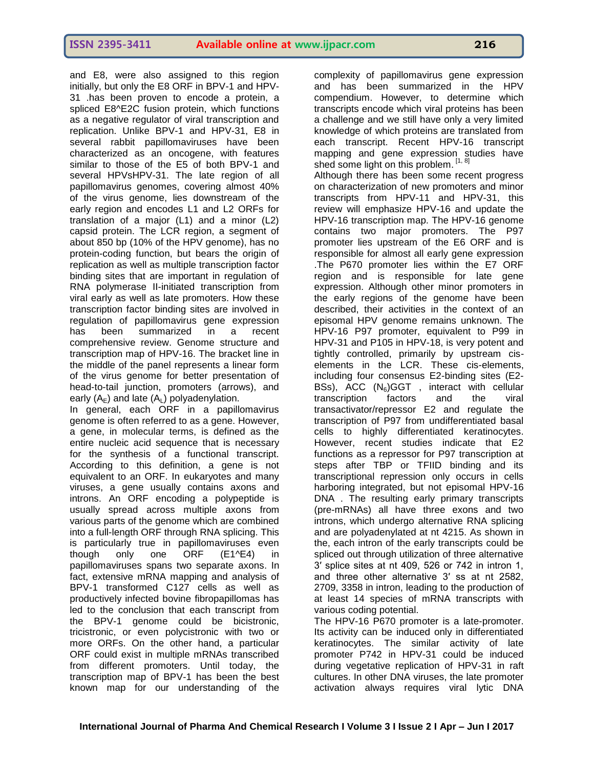and E8, were also assigned to this region initially, but only the E8 ORF in BPV-1 and HPV-31 .has been proven to encode a protein, a spliced E8^E2C fusion protein, which functions as a negative regulator of viral transcription and replication. Unlike BPV-1 and HPV-31, E8 in several rabbit papillomaviruses have been characterized as an oncogene, with features similar to those of the E5 of both BPV-1 and several HPVsHPV-31. The late region of all papillomavirus genomes, covering almost 40% of the virus genome, lies downstream of the early region and encodes L1 and L2 ORFs for translation of a major (L1) and a minor (L2) capsid protein. The LCR region, a segment of about 850 bp (10% of the HPV genome), has no protein-coding function, but bears the origin of replication as well as multiple transcription factor binding sites that are important in regulation of RNA polymerase II-initiated transcription from viral early as well as late promoters. How these transcription factor binding sites are involved in regulation of papillomavirus gene expression has been summarized in a recent comprehensive review. Genome structure and transcription map of HPV-16. The bracket line in the middle of the panel represents a linear form of the virus genome for better presentation of head-to-tail junction, promoters (arrows), and early  $(A_F)$  and late  $(A_L)$  polyadenylation.

In general, each ORF in a papillomavirus genome is often referred to as a gene. However, a gene, in molecular terms, is defined as the entire nucleic acid sequence that is necessary for the synthesis of a functional transcript. According to this definition, a gene is not equivalent to an ORF. In eukaryotes and many viruses, a gene usually contains axons and introns. An ORF encoding a polypeptide is usually spread across multiple axons from various parts of the genome which are combined into a full-length ORF through RNA splicing. This is particularly true in papillomaviruses even though only one ORF (E1^E4) in papillomaviruses spans two separate axons. In fact, extensive mRNA mapping and analysis of BPV-1 transformed C127 cells as well as productively infected bovine fibropapillomas has led to the conclusion that each transcript from the BPV-1 genome could be bicistronic, tricistronic, or even polycistronic with two or more ORFs. On the other hand, a particular ORF could exist in multiple mRNAs transcribed from different promoters. Until today, the transcription map of BPV-1 has been the best known map for our understanding of the

complexity of papillomavirus gene expression and has been summarized in the HPV compendium. However, to determine which transcripts encode which viral proteins has been a challenge and we still have only a very limited knowledge of which proteins are translated from each transcript. Recent HPV-16 transcript mapping and gene expression studies have shed some light on this problem. [1, 8]

Although there has been some recent progress on characterization of new promoters and minor transcripts from HPV-11 and HPV-31, this review will emphasize HPV-16 and update the HPV-16 transcription map. The HPV-16 genome contains two major promoters. The P97 promoter lies upstream of the E6 ORF and is responsible for almost all early gene expression .The P670 promoter lies within the E7 ORF region and is responsible for late gene expression. Although other minor promoters in the early regions of the genome have been described, their activities in the context of an episomal HPV genome remains unknown. The HPV-16 P97 promoter, equivalent to P99 in HPV-31 and P105 in HPV-18, is very potent and tightly controlled, primarily by upstream ciselements in the LCR. These cis-elements, including four consensus E2-binding sites (E2- BSs), ACC  $(N_6)$ GGT, interact with cellular transcription factors and the viral transactivator/repressor E2 and regulate the transcription of P97 from undifferentiated basal cells to highly differentiated keratinocytes. However, recent studies indicate that E2 functions as a repressor for P97 transcription at steps after TBP or TFIID binding and its transcriptional repression only occurs in cells harboring integrated, but not episomal HPV-16 DNA . The resulting early primary transcripts (pre-mRNAs) all have three exons and two introns, which undergo alternative RNA splicing and are polyadenylated at nt 4215. As shown in the, each intron of the early transcripts could be spliced out through utilization of three alternative 3′ splice sites at nt 409, 526 or 742 in intron 1, and three other alternative 3′ ss at nt 2582, 2709, 3358 in intron, leading to the production of at least 14 species of mRNA transcripts with various coding potential.

The HPV-16 P670 promoter is a late-promoter. Its activity can be induced only in differentiated keratinocytes. The similar activity of late promoter P742 in HPV-31 could be induced during vegetative replication of HPV-31 in raft cultures. In other DNA viruses, the late promoter activation always requires viral lytic DNA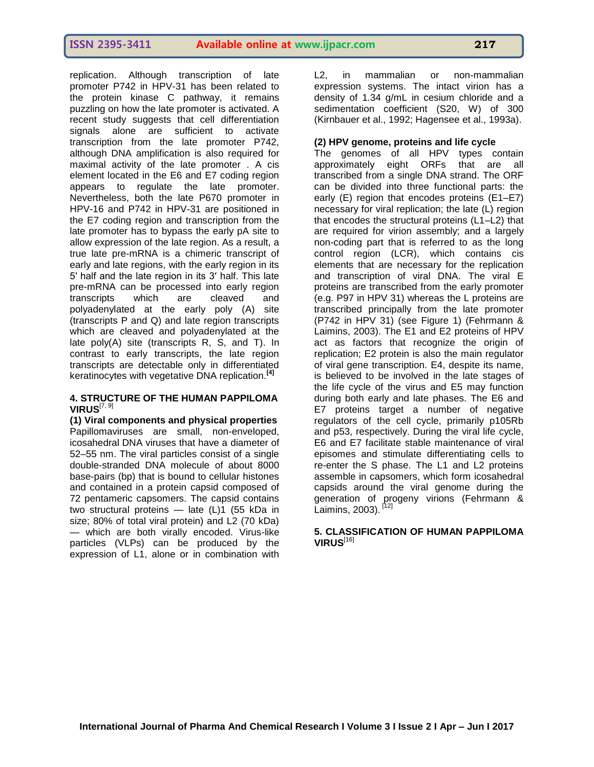replication. Although transcription of late promoter P742 in HPV-31 has been related to the protein kinase C pathway, it remains puzzling on how the late promoter is activated. A recent study suggests that cell differentiation signals alone are sufficient to activate transcription from the late promoter P742, although DNA amplification is also required for maximal activity of the late promoter . A cis element located in the E6 and E7 coding region appears to regulate the late promoter. Nevertheless, both the late P670 promoter in HPV-16 and P742 in HPV-31 are positioned in the E7 coding region and transcription from the late promoter has to bypass the early pA site to allow expression of the late region. As a result, a true late pre-mRNA is a chimeric transcript of early and late regions, with the early region in its 5′ half and the late region in its 3′ half. This late pre-mRNA can be processed into early region<br>transcripts which are cleaved and transcripts which are cleaved and polyadenylated at the early poly (A) site (transcripts P and Q) and late region transcripts which are cleaved and polyadenylated at the late poly(A) site (transcripts R, S, and T). In contrast to early transcripts, the late region transcripts are detectable only in differentiated keratinocytes with vegetative DNA replication.**[4]**

#### **4. STRUCTURE OF THE HUMAN PAPPILOMA VIRUS**[7, 9]

**(1) Viral components and physical properties** Papillomaviruses are small, non-enveloped, icosahedral DNA viruses that have a diameter of 52–55 nm. The viral particles consist of a single double-stranded DNA molecule of about 8000 base-pairs (bp) that is bound to cellular histones and contained in a protein capsid composed of 72 pentameric capsomers. The capsid contains two structural proteins — late (L)1 (55 kDa in size; 80% of total viral protein) and L2 (70 kDa) — which are both virally encoded. Virus-like particles (VLPs) can be produced by the expression of L1, alone or in combination with

L2, in mammalian or non-mammalian expression systems. The intact virion has a density of 1.34 g/mL in cesium chloride and a sedimentation coefficient (S20, W) of 300 (Kirnbauer et al., 1992; Hagensee et al., 1993a).

# **(2) HPV genome, proteins and life cycle**

The genomes of all HPV types contain approximately eight ORFs that are all transcribed from a single DNA strand. The ORF can be divided into three functional parts: the early (E) region that encodes proteins (E1–E7) necessary for viral replication; the late (L) region that encodes the structural proteins (L1–L2) that are required for virion assembly; and a largely non-coding part that is referred to as the long control region (LCR), which contains cis elements that are necessary for the replication and transcription of viral DNA. The viral E proteins are transcribed from the early promoter (e.g. P97 in HPV 31) whereas the L proteins are transcribed principally from the late promoter (P742 in HPV 31) (see Figure 1) (Fehrmann & Laimins, 2003). The E1 and E2 proteins of HPV act as factors that recognize the origin of replication; E2 protein is also the main regulator of viral gene transcription. E4, despite its name, is believed to be involved in the late stages of the life cycle of the virus and E5 may function during both early and late phases. The E6 and E7 proteins target a number of negative regulators of the cell cycle, primarily p105Rb and p53, respectively. During the viral life cycle, E6 and E7 facilitate stable maintenance of viral episomes and stimulate differentiating cells to re-enter the S phase. The L1 and L2 proteins assemble in capsomers, which form icosahedral capsids around the viral genome during the generation of progeny virions (Fehrmann & Laimins, 2003).<sup>[12]</sup>

#### **5. CLASSIFICATION OF HUMAN PAPPILOMA VIRUS**[16]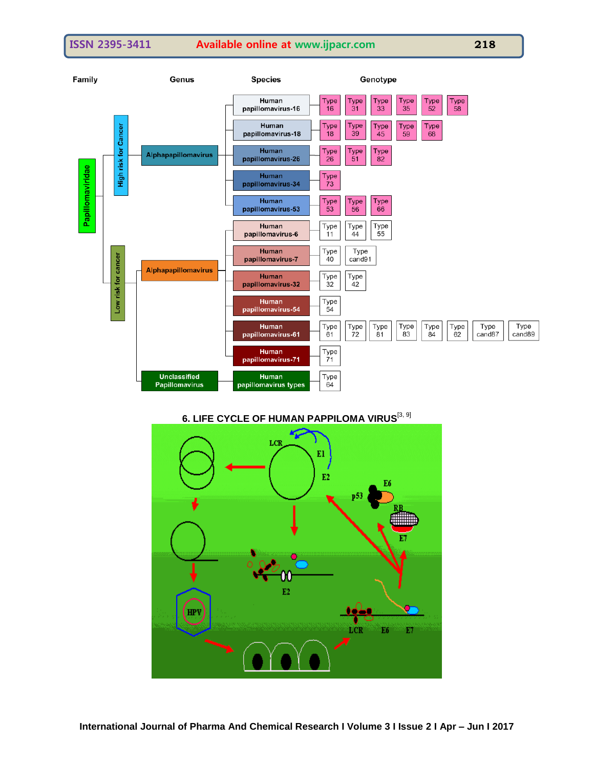

# **6. LIFE CYCLE OF HUMAN PAPPILOMA VIRUS**[3, 9]

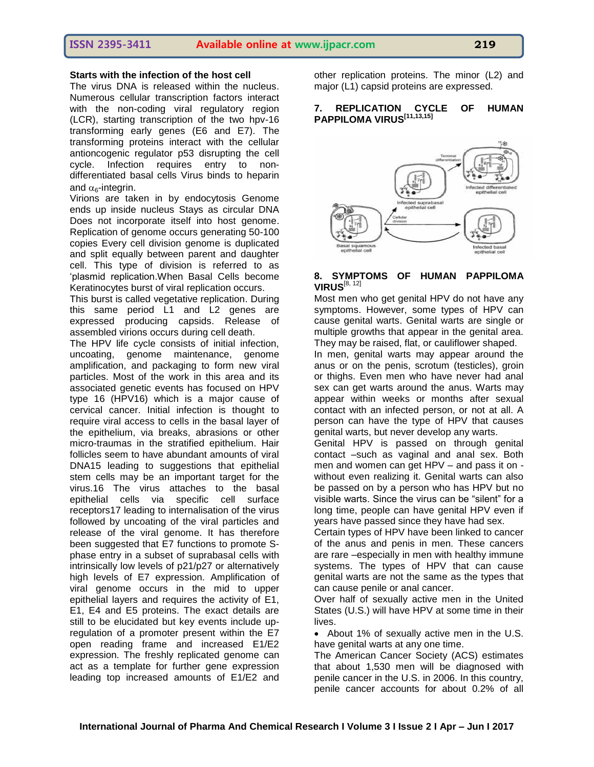### **Starts with the infection of the host cell**

The virus DNA is released within the nucleus. Numerous cellular transcription factors interact with the non-coding viral regulatory region (LCR), starting transcription of the two hpv-16 transforming early genes (E6 and E7). The transforming proteins interact with the cellular antioncogenic regulator p53 disrupting the cell cycle. Infection requires entry to nondifferentiated basal cells Virus binds to heparin and  $\alpha_6$ -integrin.

Virions are taken in by endocytosis Genome ends up inside nucleus Stays as circular DNA Does not incorporate itself into host genome. Replication of genome occurs generating 50-100 copies Every cell division genome is duplicated and split equally between parent and daughter cell. This type of division is referred to as ‗plasmid replication.When Basal Cells become Keratinocytes burst of viral replication occurs.

This burst is called vegetative replication. During this same period L1 and L2 genes are expressed producing capsids. Release of assembled virions occurs during cell death.

The HPV life cycle consists of initial infection, uncoating, genome maintenance, genome amplification, and packaging to form new viral particles. Most of the work in this area and its associated genetic events has focused on HPV type 16 (HPV16) which is a major cause of cervical cancer. Initial infection is thought to require viral access to cells in the basal layer of the epithelium, via breaks, abrasions or other micro-traumas in the stratified epithelium. Hair follicles seem to have abundant amounts of viral DNA15 leading to suggestions that epithelial stem cells may be an important target for the virus.16 The virus attaches to the basal epithelial cells via specific cell surface receptors17 leading to internalisation of the virus followed by uncoating of the viral particles and release of the viral genome. It has therefore been suggested that E7 functions to promote Sphase entry in a subset of suprabasal cells with intrinsically low levels of p21/p27 or alternatively high levels of E7 expression. Amplification of viral genome occurs in the mid to upper epithelial layers and requires the activity of E1, E1, E4 and E5 proteins. The exact details are still to be elucidated but key events include upregulation of a promoter present within the E7 open reading frame and increased E1/E2 expression. The freshly replicated genome can act as a template for further gene expression leading top increased amounts of E1/E2 and

other replication proteins. The minor (L2) and major (L1) capsid proteins are expressed.

#### **7. REPLICATION CYCLE OF HUMAN PAPPILOMA VIRUS[11,13,15]**



#### **8. SYMPTOMS OF HUMAN PAPPILOMA VIRUS**[8, 12]

Most men who get genital HPV do not have any symptoms. However, some types of HPV can cause [genital warts. Genital warts](http://geosalud.com/VPH/HPVinfection.htm) are single or multiple growths that appear in the genital area. They may be raised, flat, or cauliflower shaped.

In men, genital warts may appear around the anus or on the penis, scrotum (testicles), groin or thighs. Even men who have never had anal sex can get warts around the anus. Warts may appear within weeks or months after sexual contact with an infected person, or not at all. A person can have the type of HPV that causes genital warts, but never develop any warts.

Genital HPV is passed on through genital contact –such as vaginal and anal sex. Both men and women can get HPV – and pass it on without even realizing it. Genital warts can also be passed on by a person who has HPV but no visible warts. Since the virus can be "silent" for a long time, people can have genital HPV even if years have passed since they have had sex.

Certain types of HPV have been linked to cancer of the anus and penis in men. These cancers are rare –especially in men with healthy immune systems. The types of HPV that can cause genital warts are not the same as the types that can cause penile or anal cancer.

Over half of sexually active men in the United States (U.S.) will have HPV at some time in their lives.

• About 1% of sexually active men in the U.S. have genital warts at any one time.

The American Cancer Society (ACS) estimates that about 1,530 men will be diagnosed with penile cancer in the U.S. in 2006. In this country, penile cancer accounts for about 0.2% of all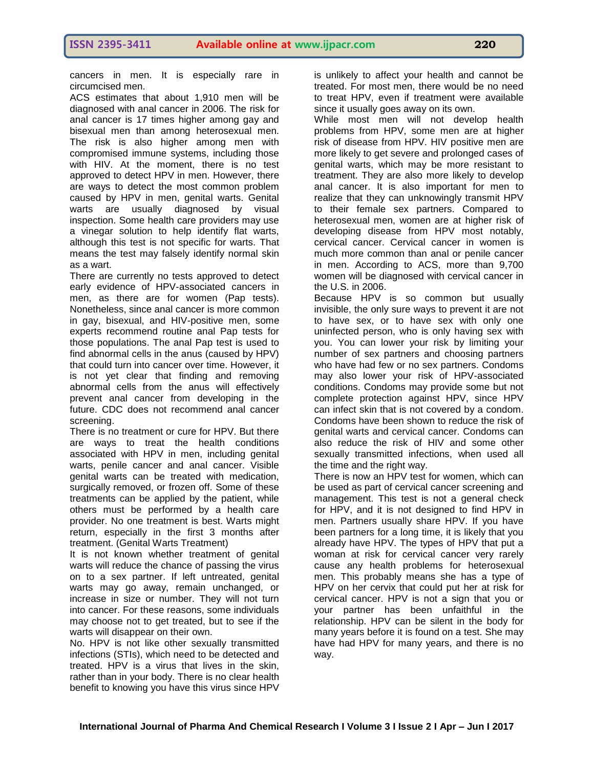cancers in men. It is especially rare in circumcised men.

ACS estimates that about 1,910 men will be diagnosed with anal cancer in 2006. The risk for anal cancer is 17 times higher among gay and bisexual men than among heterosexual men. The risk is also higher among men with compromised immune systems, including those with HIV. At the moment, there is no test approved to detect HPV in men. However, there are ways to detect the most common problem caused by HPV in men, genital warts. Genital warts are usually diagnosed by visual inspection. Some health care providers may use a vinegar solution to help identify flat warts, although this test is not specific for warts. That means the test may falsely identify normal skin as a wart.

There are currently no tests approved to detect early evidence of HPV-associated cancers in men, as there are for women (Pap tests). Nonetheless, since anal cancer is more common in gay, bisexual, and HIV-positive men, some experts recommend routine anal Pap tests for those populations. The anal Pap test is used to find abnormal cells in the anus (caused by HPV) that could turn into cancer over time. However, it is not yet clear that finding and removing abnormal cells from the anus will effectively prevent anal cancer from developing in the future. CDC does not recommend anal cancer screening.

There is no treatment or cure for HPV. But there are ways to treat the health conditions associated with HPV in men, including genital warts, penile cancer and anal cancer. Visible genital warts can be treated with medication, surgically removed, or frozen off. Some of these treatments can be applied by the patient, while others must be performed by a health care provider. No one treatment is best. Warts might return, especially in the first 3 months after treatment. [\(Genital Warts Treatment\)](http://geosalud.com/VPH/HPVinfection.htm)

It is not known whether treatment of genital warts will reduce the chance of passing the virus on to a sex partner. If left untreated, genital warts may go away, remain unchanged, or increase in size or number. They will not turn into cancer. For these reasons, some individuals may choose not to get treated, but to see if the warts will disappear on their own.

No. HPV is not like other sexually transmitted infections (STIs), which need to be detected and treated. HPV is a virus that lives in the skin, rather than in your body. There is no clear health benefit to knowing you have this virus since HPV is unlikely to affect your health and cannot be treated. For most men, there would be no need to treat HPV, even if treatment were available since it usually goes away on its own.

While most men will not develop health problems from HPV, some men are at higher risk of disease from HPV. HIV positive men are more likely to get severe and prolonged cases of genital warts, which may be more resistant to treatment. They are also more likely to develop anal cancer. It is also important for men to realize that they can unknowingly transmit HPV to their female sex partners. Compared to heterosexual men, women are at higher risk of developing disease from HPV most notably, cervical cancer. Cervical cancer in women is much more common than anal or penile cancer in men. According to ACS, more than 9,700 women will be diagnosed with cervical cancer in the U.S. in 2006.

Because HPV is so common but usually invisible, the only sure ways to prevent it are not to have sex, or to have sex with only one uninfected person, who is only having sex with you. You can lower your risk by limiting your number of sex partners and choosing partners who have had few or no sex partners. Condoms may also lower your risk of HPV-associated conditions. Condoms may provide some but not complete protection against HPV, since HPV can infect skin that is not covered by a condom. Condoms have been shown to reduce the risk of genital warts and cervical cancer. Condoms can also reduce the risk of HIV and some other sexually transmitted infections, when used all the time and the right way.

There is now an HPV test for women, which can be used as part of cervical cancer screening and management. This test is not a general check for HPV, and it is not designed to find HPV in men. Partners usually share HPV. If you have been partners for a long time, it is likely that you already have HPV. The types of HPV that put a woman at risk for cervical cancer very rarely cause any health problems for heterosexual men. This probably means she has a type of HPV on her cervix that could put her at risk for cervical cancer. HPV is not a sign that you or your partner has been unfaithful in the relationship. HPV can be silent in the body for many years before it is found on a test. She may have had HPV for many years, and there is no way.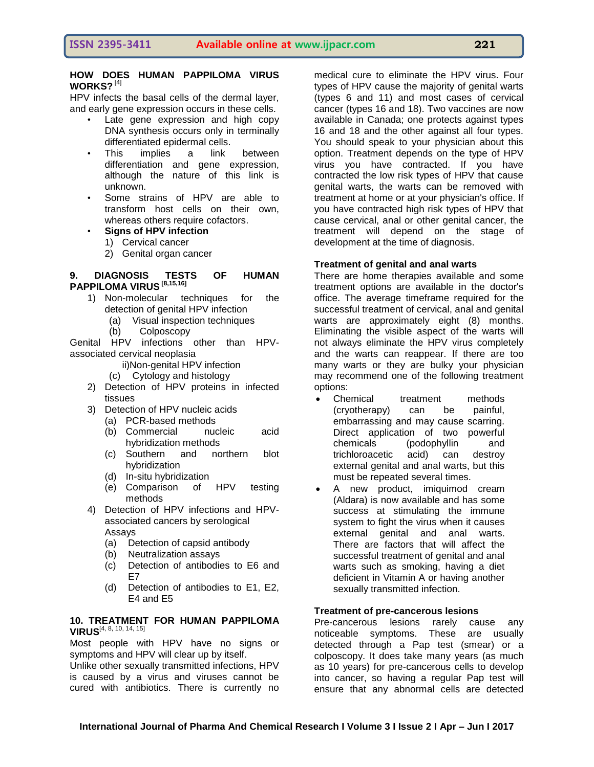#### **HOW DOES HUMAN PAPPILOMA VIRUS WORKS?** [4]

HPV infects the basal cells of the dermal layer, and early gene expression occurs in these cells.

- Late gene expression and high copy DNA synthesis occurs only in terminally differentiated epidermal cells.
- This implies a link between differentiation and gene expression, although the nature of this link is unknown.
- Some strains of HPV are able to transform host cells on their own, whereas others require cofactors.
- **Signs of HPV infection**
	- 1) Cervical cancer
	- 2) Genital organ cancer

#### **9. DIAGNOSIS TESTS OF HUMAN PAPPILOMA VIRUS [8,15,16]**

- 1) Non-molecular techniques for the detection of genital HPV infection
	- (a) Visual inspection techniques
	- (b) Colposcopy

Genital HPV infections other than HPVassociated cervical neoplasia

- ii)Non-genital HPV infection
- (c) Cytology and histology
- 2) Detection of HPV proteins in infected tissues
- 3) Detection of HPV nucleic acids
	- (a) PCR-based methods
	- (b) Commercial nucleic acid hybridization methods
	- (c) Southern and northern blot hybridization
	- (d) In-situ hybridization
	- (e) Comparison of HPV testing methods
- 4) Detection of HPV infections and HPVassociated cancers by serological Assays
	- (a) Detection of capsid antibody
	- (b) Neutralization assays
	- (c) Detection of antibodies to E6 and E7
	- (d) Detection of antibodies to E1, E2, E4 and E5

#### **10. TREATMENT FOR HUMAN PAPPILOMA VIRUS**[4, 8, 10, 14, 15]

Most people with HPV have no signs or symptoms and HPV will clear up by itself.

Unlike other sexually transmitted infections, HPV is caused by a virus and viruses cannot be cured with antibiotics. There is currently no

medical cure to eliminate the HPV virus. Four types of HPV cause the majority of genital warts (types 6 and 11) and most cases of cervical cancer (types 16 and 18). Two vaccines are now available in Canada; one protects against types 16 and 18 and the other against all four types. You should speak to your physician about this option. Treatment depends on the type of HPV virus you have contracted. If you have contracted the low risk types of HPV that cause genital warts, the warts can be removed with treatment at home or at your physician's office. If you have contracted high risk types of HPV that cause cervical, anal or other genital cancer, the treatment will depend on the stage of development at the time of diagnosis.

#### **Treatment of genital and anal warts**

There are home therapies available and some treatment options are available in the doctor's office. The average timeframe required for the successful treatment of cervical, anal and genital warts are approximately eight (8) months. Eliminating the visible aspect of the warts will not always eliminate the HPV virus completely and the warts can reappear. If there are too many warts or they are bulky your physician may recommend one of the following treatment options:

- Chemical treatment methods (cryotherapy) can be painful, embarrassing and may cause scarring. Direct application of two powerful chemicals (podophyllin and trichloroacetic acid) can destroy external genital and anal warts, but this must be repeated several times.
- A new product, imiquimod cream (Aldara) is now available and has some success at stimulating the immune system to fight the virus when it causes external genital and anal warts. There are factors that will affect the successful treatment of genital and anal warts such as smoking, having a diet deficient in Vitamin A or having another sexually transmitted infection.

#### **Treatment of pre-cancerous lesions**

Pre-cancerous lesions rarely cause any noticeable symptoms. These are usually detected through a Pap test (smear) or a colposcopy. It does take many years (as much as 10 years) for pre-cancerous cells to develop into cancer, so having a regular Pap test will ensure that any abnormal cells are detected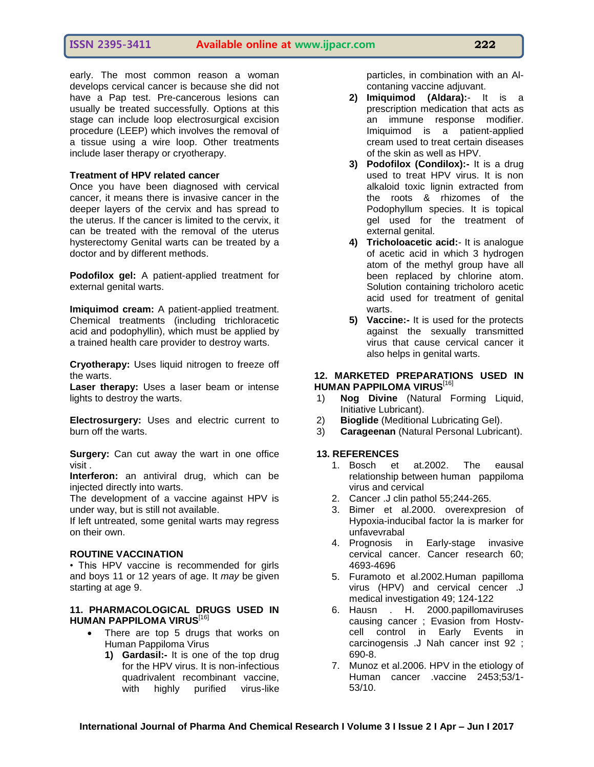early. The most common reason a woman develops cervical cancer is because she did not have a Pap test. Pre-cancerous lesions can usually be treated successfully. Options at this stage can include loop electrosurgical excision procedure (LEEP) which involves the removal of a tissue using a wire loop. Other treatments include laser therapy or cryotherapy.

#### **Treatment of HPV related cancer**

Once you have been diagnosed with cervical cancer, it means there is invasive cancer in the deeper layers of the cervix and has spread to the uterus. If the cancer is limited to the cervix, it can be treated with the removal of the uterus hysterectomy Genital warts can be treated by a doctor and by different methods.

**Podofilox gel:** A patient-applied treatment for external genital warts.

**Imiquimod cream:** A patient-applied treatment. Chemical treatments (including trichloracetic acid and podophyllin), which must be applied by a trained health care provider to destroy warts.

**Cryotherapy:** Uses liquid nitrogen to freeze off the warts.

**Laser therapy:** Uses a laser beam or intense lights to destroy the warts.

**Electrosurgery:** Uses and electric current to burn off the warts.

**Surgery:** Can cut away the wart in one office visit .

**Interferon:** an antiviral drug, which can be injected directly into warts.

The development of a vaccine against HPV is under way, but is still not available.

If left untreated, some genital warts may regress on their own.

#### **ROUTINE VACCINATION**

• This HPV vaccine is recommended for girls and boys 11 or 12 years of age. It *may* be given starting at age 9.

#### **11. PHARMACOLOGICAL DRUGS USED IN HUMAN PAPPILOMA VIRUS**[16]

- There are top 5 drugs that works on Human Pappiloma Virus
	- **1) Gardasil:-** It is one of the top drug for the HPV virus. It is non-infectious quadrivalent recombinant vaccine, with highly purified virus-like

particles, in combination with an Alcontaning vaccine adjuvant.

- **2) Imiquimod (Aldara):** It is a prescription medication that acts as an immune response modifier. Imiquimod is a patient-applied cream used to treat certain diseases of the skin as well as HPV.
- **3) Podofilox (Condilox):-** It is a drug used to treat HPV virus. It is non alkaloid toxic lignin extracted from the roots & rhizomes of the Podophyllum species. It is topical gel used for the treatment of external genital.
- **4) Tricholoacetic acid:** It is analogue of acetic acid in which 3 hydrogen atom of the methyl group have all been replaced by chlorine atom. Solution containing tricholoro acetic acid used for treatment of genital warts.
- **5) Vaccine:-** It is used for the protects against the sexually transmitted virus that cause cervical cancer it also helps in genital warts.

#### **12. MARKETED PREPARATIONS USED IN HUMAN PAPPILOMA VIRUS**[16]

- 1) **Nog Divine** (Natural Forming Liquid, Initiative Lubricant).
- 2) **Bioglide** (Meditional Lubricating Gel).
- 3) **Carageenan** (Natural Personal Lubricant).

#### **13. REFERENCES**

- 1. Bosch et at.2002. The eausal relationship between human pappiloma virus and cervical
- 2. Cancer .J clin pathol 55;244-265.
- 3. Bimer et al.2000. overexpresion of Hypoxia-inducibal factor la is marker for unfavevrabal
- 4. Prognosis in Early-stage invasive cervical cancer. Cancer research 60; 4693-4696
- 5. Furamoto et al.2002.Human papilloma virus (HPV) and cervical cencer .J medical investigation 49; 124-122
- 6. Hausn . H. 2000.papillomaviruses causing cancer ; Evasion from Hostvcell control in Early Events in carcinogensis .J Nah cancer inst 92 ; 690-8.
- 7. Munoz et al.2006. HPV in the etiology of Human cancer .vaccine 2453;53/1- 53/10.